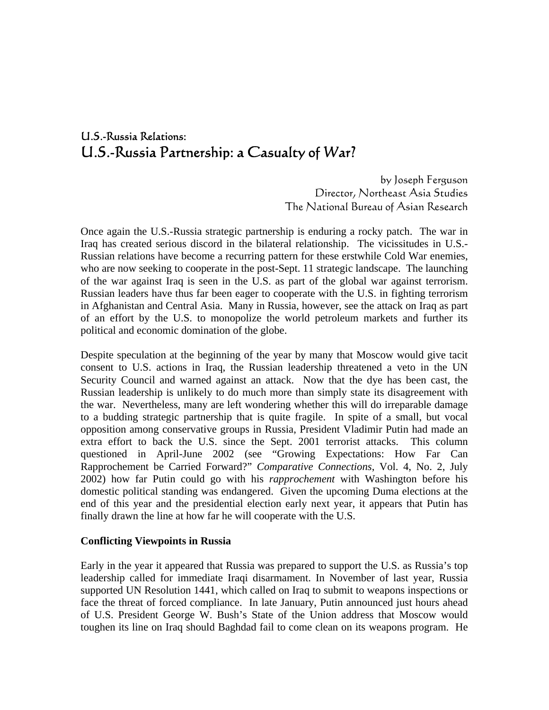# U.S.-Russia Relations: U.S.-Russia Partnership: a Casualty of War?

by Joseph Ferguson Director, Northeast Asia Studies The National Bureau of Asian Research

Once again the U.S.-Russia strategic partnership is enduring a rocky patch. The war in Iraq has created serious discord in the bilateral relationship. The vicissitudes in U.S.- Russian relations have become a recurring pattern for these erstwhile Cold War enemies, who are now seeking to cooperate in the post-Sept. 11 strategic landscape. The launching of the war against Iraq is seen in the U.S. as part of the global war against terrorism. Russian leaders have thus far been eager to cooperate with the U.S. in fighting terrorism in Afghanistan and Central Asia. Many in Russia, however, see the attack on Iraq as part of an effort by the U.S. to monopolize the world petroleum markets and further its political and economic domination of the globe.

Despite speculation at the beginning of the year by many that Moscow would give tacit consent to U.S. actions in Iraq, the Russian leadership threatened a veto in the UN Security Council and warned against an attack. Now that the dye has been cast, the Russian leadership is unlikely to do much more than simply state its disagreement with the war. Nevertheless, many are left wondering whether this will do irreparable damage to a budding strategic partnership that is quite fragile. In spite of a small, but vocal opposition among conservative groups in Russia, President Vladimir Putin had made an extra effort to back the U.S. since the Sept. 2001 terrorist attacks. This column questioned in April-June 2002 (see "Growing Expectations: How Far Can Rapprochement be Carried Forward?" *Comparative Connections*, Vol. 4, No. 2, July 2002) how far Putin could go with his *rapprochement* with Washington before his domestic political standing was endangered. Given the upcoming Duma elections at the end of this year and the presidential election early next year, it appears that Putin has finally drawn the line at how far he will cooperate with the U.S.

### **Conflicting Viewpoints in Russia**

Early in the year it appeared that Russia was prepared to support the U.S. as Russia's top leadership called for immediate Iraqi disarmament. In November of last year, Russia supported UN Resolution 1441, which called on Iraq to submit to weapons inspections or face the threat of forced compliance. In late January, Putin announced just hours ahead of U.S. President George W. Bush's State of the Union address that Moscow would toughen its line on Iraq should Baghdad fail to come clean on its weapons program. He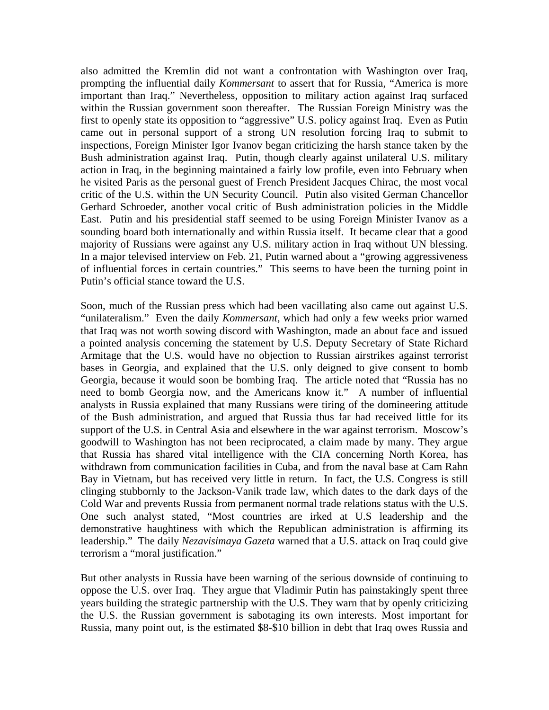also admitted the Kremlin did not want a confrontation with Washington over Iraq, prompting the influential daily *Kommersant* to assert that for Russia, "America is more important than Iraq." Nevertheless, opposition to military action against Iraq surfaced within the Russian government soon thereafter. The Russian Foreign Ministry was the first to openly state its opposition to "aggressive" U.S. policy against Iraq. Even as Putin came out in personal support of a strong UN resolution forcing Iraq to submit to inspections, Foreign Minister Igor Ivanov began criticizing the harsh stance taken by the Bush administration against Iraq. Putin, though clearly against unilateral U.S. military action in Iraq, in the beginning maintained a fairly low profile, even into February when he visited Paris as the personal guest of French President Jacques Chirac, the most vocal critic of the U.S. within the UN Security Council. Putin also visited German Chancellor Gerhard Schroeder, another vocal critic of Bush administration policies in the Middle East. Putin and his presidential staff seemed to be using Foreign Minister Ivanov as a sounding board both internationally and within Russia itself. It became clear that a good majority of Russians were against any U.S. military action in Iraq without UN blessing. In a major televised interview on Feb. 21, Putin warned about a "growing aggressiveness of influential forces in certain countries." This seems to have been the turning point in Putin's official stance toward the U.S.

Soon, much of the Russian press which had been vacillating also came out against U.S. "unilateralism." Even the daily *Kommersant*, which had only a few weeks prior warned that Iraq was not worth sowing discord with Washington, made an about face and issued a pointed analysis concerning the statement by U.S. Deputy Secretary of State Richard Armitage that the U.S. would have no objection to Russian airstrikes against terrorist bases in Georgia, and explained that the U.S. only deigned to give consent to bomb Georgia, because it would soon be bombing Iraq. The article noted that "Russia has no need to bomb Georgia now, and the Americans know it." A number of influential analysts in Russia explained that many Russians were tiring of the domineering attitude of the Bush administration, and argued that Russia thus far had received little for its support of the U.S. in Central Asia and elsewhere in the war against terrorism. Moscow's goodwill to Washington has not been reciprocated, a claim made by many. They argue that Russia has shared vital intelligence with the CIA concerning North Korea, has withdrawn from communication facilities in Cuba, and from the naval base at Cam Rahn Bay in Vietnam, but has received very little in return. In fact, the U.S. Congress is still clinging stubbornly to the Jackson-Vanik trade law, which dates to the dark days of the Cold War and prevents Russia from permanent normal trade relations status with the U.S. One such analyst stated, "Most countries are irked at U.S leadership and the demonstrative haughtiness with which the Republican administration is affirming its leadership." The daily *Nezavisimaya Gazeta* warned that a U.S. attack on Iraq could give terrorism a "moral justification."

But other analysts in Russia have been warning of the serious downside of continuing to oppose the U.S. over Iraq. They argue that Vladimir Putin has painstakingly spent three years building the strategic partnership with the U.S. They warn that by openly criticizing the U.S. the Russian government is sabotaging its own interests. Most important for Russia, many point out, is the estimated \$8-\$10 billion in debt that Iraq owes Russia and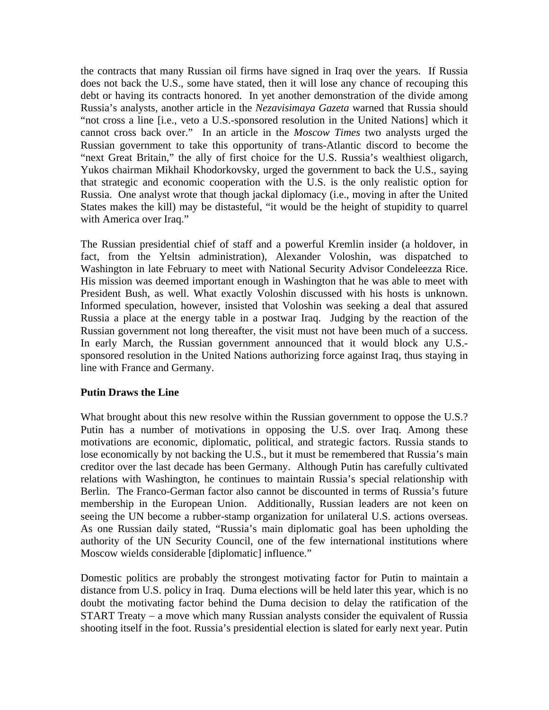the contracts that many Russian oil firms have signed in Iraq over the years. If Russia does not back the U.S., some have stated, then it will lose any chance of recouping this debt or having its contracts honored. In yet another demonstration of the divide among Russia's analysts, another article in the *Nezavisimaya Gazeta* warned that Russia should "not cross a line [i.e., veto a U.S.-sponsored resolution in the United Nations] which it cannot cross back over." In an article in the *Moscow Times* two analysts urged the Russian government to take this opportunity of trans-Atlantic discord to become the "next Great Britain," the ally of first choice for the U.S. Russia's wealthiest oligarch, Yukos chairman Mikhail Khodorkovsky, urged the government to back the U.S., saying that strategic and economic cooperation with the U.S. is the only realistic option for Russia. One analyst wrote that though jackal diplomacy (i.e., moving in after the United States makes the kill) may be distasteful, "it would be the height of stupidity to quarrel with America over Iraq."

The Russian presidential chief of staff and a powerful Kremlin insider (a holdover, in fact, from the Yeltsin administration), Alexander Voloshin, was dispatched to Washington in late February to meet with National Security Advisor Condeleezza Rice. His mission was deemed important enough in Washington that he was able to meet with President Bush, as well. What exactly Voloshin discussed with his hosts is unknown. Informed speculation, however, insisted that Voloshin was seeking a deal that assured Russia a place at the energy table in a postwar Iraq. Judging by the reaction of the Russian government not long thereafter, the visit must not have been much of a success. In early March, the Russian government announced that it would block any U.S. sponsored resolution in the United Nations authorizing force against Iraq, thus staying in line with France and Germany.

### **Putin Draws the Line**

What brought about this new resolve within the Russian government to oppose the U.S.? Putin has a number of motivations in opposing the U.S. over Iraq. Among these motivations are economic, diplomatic, political, and strategic factors. Russia stands to lose economically by not backing the U.S., but it must be remembered that Russia's main creditor over the last decade has been Germany. Although Putin has carefully cultivated relations with Washington, he continues to maintain Russia's special relationship with Berlin. The Franco-German factor also cannot be discounted in terms of Russia's future membership in the European Union. Additionally, Russian leaders are not keen on seeing the UN become a rubber-stamp organization for unilateral U.S. actions overseas. As one Russian daily stated, "Russia's main diplomatic goal has been upholding the authority of the UN Security Council, one of the few international institutions where Moscow wields considerable [diplomatic] influence."

Domestic politics are probably the strongest motivating factor for Putin to maintain a distance from U.S. policy in Iraq. Duma elections will be held later this year, which is no doubt the motivating factor behind the Duma decision to delay the ratification of the START Treaty − a move which many Russian analysts consider the equivalent of Russia shooting itself in the foot. Russia's presidential election is slated for early next year. Putin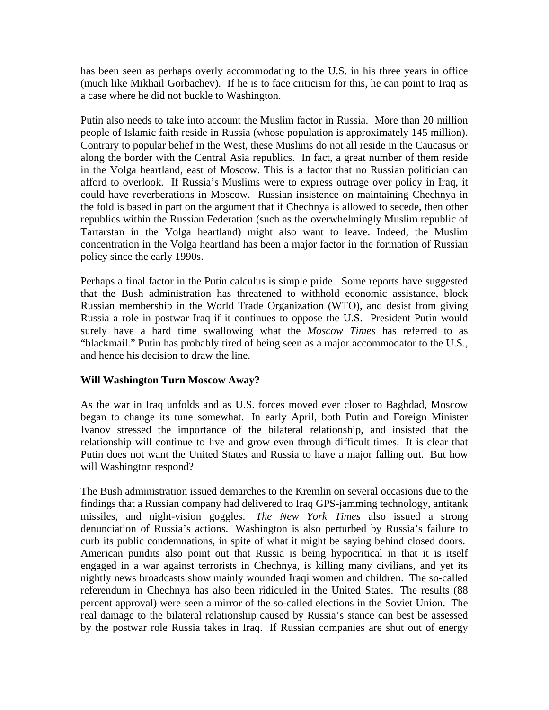has been seen as perhaps overly accommodating to the U.S. in his three years in office (much like Mikhail Gorbachev). If he is to face criticism for this, he can point to Iraq as a case where he did not buckle to Washington.

Putin also needs to take into account the Muslim factor in Russia. More than 20 million people of Islamic faith reside in Russia (whose population is approximately 145 million). Contrary to popular belief in the West, these Muslims do not all reside in the Caucasus or along the border with the Central Asia republics. In fact, a great number of them reside in the Volga heartland, east of Moscow. This is a factor that no Russian politician can afford to overlook. If Russia's Muslims were to express outrage over policy in Iraq, it could have reverberations in Moscow. Russian insistence on maintaining Chechnya in the fold is based in part on the argument that if Chechnya is allowed to secede, then other republics within the Russian Federation (such as the overwhelmingly Muslim republic of Tartarstan in the Volga heartland) might also want to leave. Indeed, the Muslim concentration in the Volga heartland has been a major factor in the formation of Russian policy since the early 1990s.

Perhaps a final factor in the Putin calculus is simple pride. Some reports have suggested that the Bush administration has threatened to withhold economic assistance, block Russian membership in the World Trade Organization (WTO), and desist from giving Russia a role in postwar Iraq if it continues to oppose the U.S. President Putin would surely have a hard time swallowing what the *Moscow Times* has referred to as "blackmail." Putin has probably tired of being seen as a major accommodator to the U.S., and hence his decision to draw the line.

## **Will Washington Turn Moscow Away?**

As the war in Iraq unfolds and as U.S. forces moved ever closer to Baghdad, Moscow began to change its tune somewhat. In early April, both Putin and Foreign Minister Ivanov stressed the importance of the bilateral relationship, and insisted that the relationship will continue to live and grow even through difficult times. It is clear that Putin does not want the United States and Russia to have a major falling out. But how will Washington respond?

The Bush administration issued demarches to the Kremlin on several occasions due to the findings that a Russian company had delivered to Iraq GPS-jamming technology, antitank missiles, and night-vision goggles. *The New York Times* also issued a strong denunciation of Russia's actions. Washington is also perturbed by Russia's failure to curb its public condemnations, in spite of what it might be saying behind closed doors. American pundits also point out that Russia is being hypocritical in that it is itself engaged in a war against terrorists in Chechnya, is killing many civilians, and yet its nightly news broadcasts show mainly wounded Iraqi women and children. The so-called referendum in Chechnya has also been ridiculed in the United States. The results (88 percent approval) were seen a mirror of the so-called elections in the Soviet Union. The real damage to the bilateral relationship caused by Russia's stance can best be assessed by the postwar role Russia takes in Iraq. If Russian companies are shut out of energy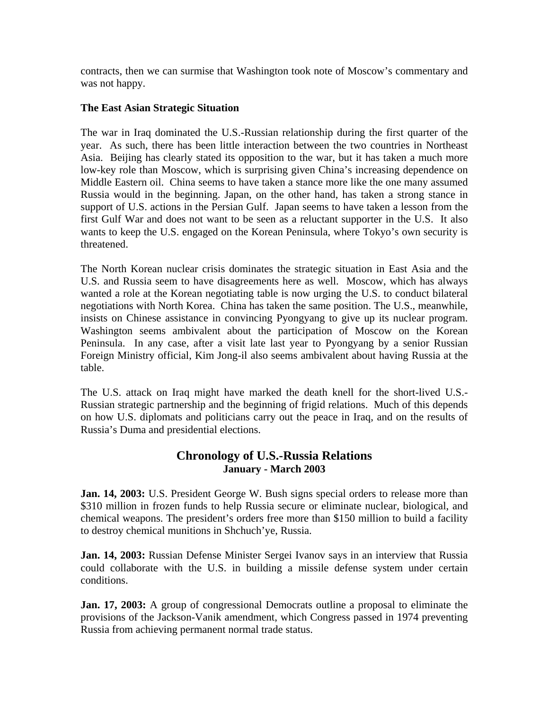contracts, then we can surmise that Washington took note of Moscow's commentary and was not happy.

## **The East Asian Strategic Situation**

The war in Iraq dominated the U.S.-Russian relationship during the first quarter of the year. As such, there has been little interaction between the two countries in Northeast Asia. Beijing has clearly stated its opposition to the war, but it has taken a much more low-key role than Moscow, which is surprising given China's increasing dependence on Middle Eastern oil. China seems to have taken a stance more like the one many assumed Russia would in the beginning. Japan, on the other hand, has taken a strong stance in support of U.S. actions in the Persian Gulf. Japan seems to have taken a lesson from the first Gulf War and does not want to be seen as a reluctant supporter in the U.S. It also wants to keep the U.S. engaged on the Korean Peninsula, where Tokyo's own security is threatened.

The North Korean nuclear crisis dominates the strategic situation in East Asia and the U.S. and Russia seem to have disagreements here as well. Moscow, which has always wanted a role at the Korean negotiating table is now urging the U.S. to conduct bilateral negotiations with North Korea. China has taken the same position. The U.S., meanwhile, insists on Chinese assistance in convincing Pyongyang to give up its nuclear program. Washington seems ambivalent about the participation of Moscow on the Korean Peninsula. In any case, after a visit late last year to Pyongyang by a senior Russian Foreign Ministry official, Kim Jong-il also seems ambivalent about having Russia at the table.

The U.S. attack on Iraq might have marked the death knell for the short-lived U.S.- Russian strategic partnership and the beginning of frigid relations. Much of this depends on how U.S. diplomats and politicians carry out the peace in Iraq, and on the results of Russia's Duma and presidential elections.

## **Chronology of U.S.-Russia Relations January - March 2003**

**Jan. 14, 2003:** U.S. President George W. Bush signs special orders to release more than \$310 million in frozen funds to help Russia secure or eliminate nuclear, biological, and chemical weapons. The president's orders free more than \$150 million to build a facility to destroy chemical munitions in Shchuch'ye, Russia.

**Jan. 14, 2003:** Russian Defense Minister Sergei Ivanov says in an interview that Russia could collaborate with the U.S. in building a missile defense system under certain conditions.

**Jan. 17, 2003:** A group of congressional Democrats outline a proposal to eliminate the provisions of the Jackson-Vanik amendment, which Congress passed in 1974 preventing Russia from achieving permanent normal trade status.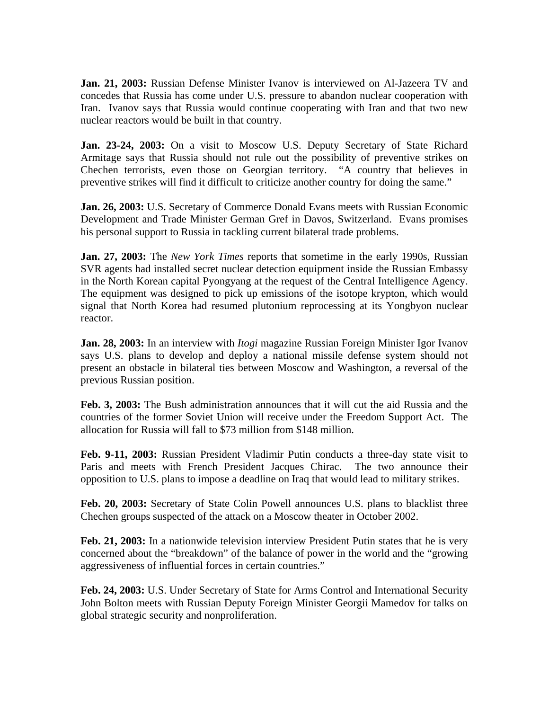**Jan. 21, 2003:** Russian Defense Minister Ivanov is interviewed on Al-Jazeera TV and concedes that Russia has come under U.S. pressure to abandon nuclear cooperation with Iran. Ivanov says that Russia would continue cooperating with Iran and that two new nuclear reactors would be built in that country.

**Jan. 23-24, 2003:** On a visit to Moscow U.S. Deputy Secretary of State Richard Armitage says that Russia should not rule out the possibility of preventive strikes on Chechen terrorists, even those on Georgian territory. "A country that believes in preventive strikes will find it difficult to criticize another country for doing the same."

**Jan. 26, 2003:** U.S. Secretary of Commerce Donald Evans meets with Russian Economic Development and Trade Minister German Gref in Davos, Switzerland. Evans promises his personal support to Russia in tackling current bilateral trade problems.

**Jan. 27, 2003:** The *New York Times* reports that sometime in the early 1990s, Russian SVR agents had installed secret nuclear detection equipment inside the Russian Embassy in the North Korean capital Pyongyang at the request of the Central Intelligence Agency. The equipment was designed to pick up emissions of the isotope krypton, which would signal that North Korea had resumed plutonium reprocessing at its Yongbyon nuclear reactor.

**Jan. 28, 2003:** In an interview with *Itogi* magazine Russian Foreign Minister Igor Ivanov says U.S. plans to develop and deploy a national missile defense system should not present an obstacle in bilateral ties between Moscow and Washington, a reversal of the previous Russian position.

**Feb. 3, 2003:** The Bush administration announces that it will cut the aid Russia and the countries of the former Soviet Union will receive under the Freedom Support Act. The allocation for Russia will fall to \$73 million from \$148 million.

**Feb. 9-11, 2003:** Russian President Vladimir Putin conducts a three-day state visit to Paris and meets with French President Jacques Chirac. The two announce their opposition to U.S. plans to impose a deadline on Iraq that would lead to military strikes.

**Feb. 20, 2003:** Secretary of State Colin Powell announces U.S. plans to blacklist three Chechen groups suspected of the attack on a Moscow theater in October 2002.

**Feb. 21, 2003:** In a nationwide television interview President Putin states that he is very concerned about the "breakdown" of the balance of power in the world and the "growing aggressiveness of influential forces in certain countries."

**Feb. 24, 2003:** U.S. Under Secretary of State for Arms Control and International Security John Bolton meets with Russian Deputy Foreign Minister Georgii Mamedov for talks on global strategic security and nonproliferation.